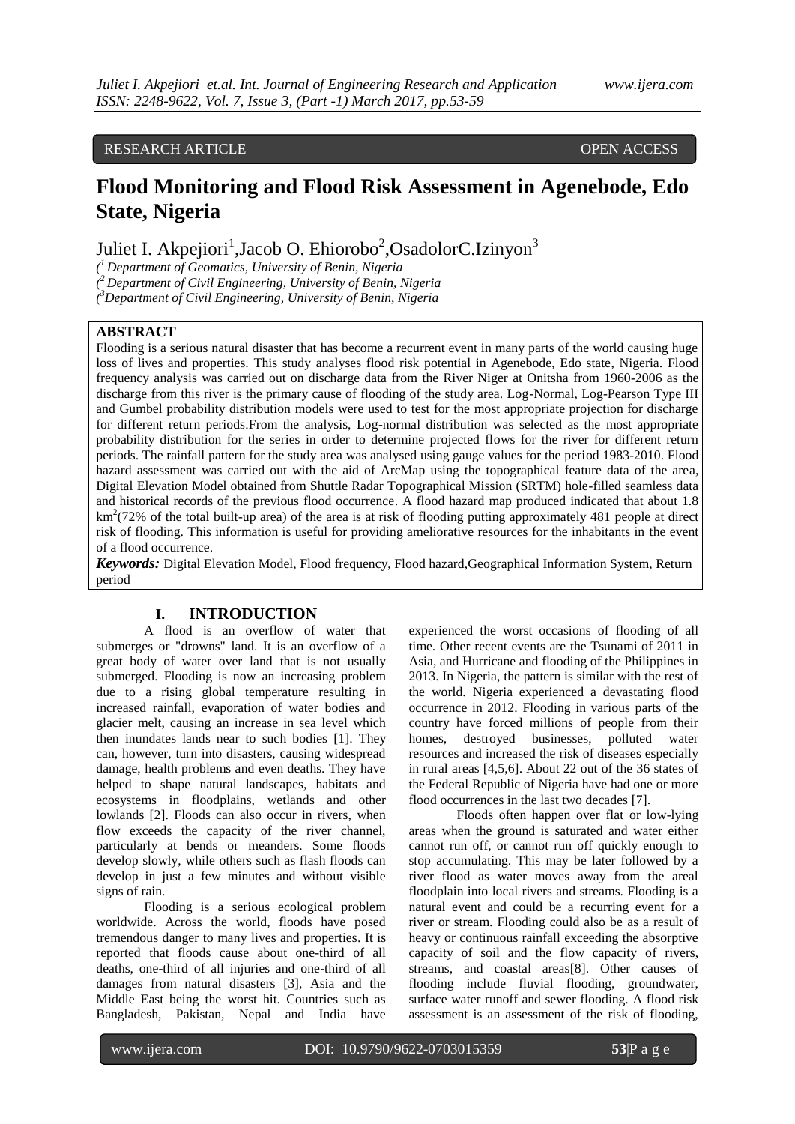# RESEARCH ARTICLE OPEN ACCESS

# **Flood Monitoring and Flood Risk Assessment in Agenebode, Edo State, Nigeria**

Juliet I. Akpejiori<sup>1</sup>, Jacob O. Ehiorobo<sup>2</sup>, Osadolor C. Izinyon<sup>3</sup>

*( <sup>1</sup>Department of Geomatics, University of Benin, Nigeria* 

*( <sup>2</sup>Department of Civil Engineering, University of Benin, Nigeria*

*( <sup>3</sup>Department of Civil Engineering, University of Benin, Nigeria*

# **ABSTRACT**

Flooding is a serious natural disaster that has become a recurrent event in many parts of the world causing huge loss of lives and properties. This study analyses flood risk potential in Agenebode, Edo state, Nigeria. Flood frequency analysis was carried out on discharge data from the River Niger at Onitsha from 1960-2006 as the discharge from this river is the primary cause of flooding of the study area. Log-Normal, Log-Pearson Type III and Gumbel probability distribution models were used to test for the most appropriate projection for discharge for different return periods.From the analysis, Log-normal distribution was selected as the most appropriate probability distribution for the series in order to determine projected flows for the river for different return periods. The rainfall pattern for the study area was analysed using gauge values for the period 1983-2010. Flood hazard assessment was carried out with the aid of ArcMap using the topographical feature data of the area, Digital Elevation Model obtained from Shuttle Radar Topographical Mission (SRTM) hole-filled seamless data and historical records of the previous flood occurrence. A flood hazard map produced indicated that about 1.8  $km<sup>2</sup>(72%$  of the total built-up area) of the area is at risk of flooding putting approximately 481 people at direct risk of flooding. This information is useful for providing ameliorative resources for the inhabitants in the event of a flood occurrence.

*Keywords:* Digital Elevation Model, Flood frequency, Flood hazard,Geographical Information System, Return period

## **I. INTRODUCTION**

A flood is an overflow of water that submerges or "drowns" land. It is an overflow of a great body of water over land that is not usually submerged. Flooding is now an increasing problem due to a rising global temperature resulting in increased rainfall, evaporation of water bodies and glacier melt, causing an increase in sea level which then inundates lands near to such bodies [1]. They can, however, turn into disasters, causing widespread damage, health problems and even deaths. They have helped to shape natural landscapes, habitats and ecosystems in floodplains, wetlands and other lowlands [2]. Floods can also occur in rivers, when flow exceeds the capacity of the river channel, particularly at bends or meanders. Some floods develop slowly, while others such as flash floods can develop in just a few minutes and without visible signs of rain.

Flooding is a serious ecological problem worldwide. Across the world, floods have posed tremendous danger to many lives and properties. It is reported that floods cause about one-third of all deaths, one-third of all injuries and one-third of all damages from natural disasters [3], Asia and the Middle East being the worst hit. Countries such as Bangladesh, Pakistan, Nepal and India have

experienced the worst occasions of flooding of all time. Other recent events are the Tsunami of 2011 in Asia, and Hurricane and flooding of the Philippines in 2013. In Nigeria, the pattern is similar with the rest of the world. Nigeria experienced a devastating flood occurrence in 2012. Flooding in various parts of the country have forced millions of people from their homes, destroyed businesses, polluted water resources and increased the risk of diseases especially in rural areas [4,5,6]. About 22 out of the 36 states of the Federal Republic of Nigeria have had one or more flood occurrences in the last two decades [7].

Floods often happen over flat or low-lying areas when the ground is saturated and water either cannot run off, or cannot run off quickly enough to stop accumulating. This may be later followed by a river flood as water moves away from the areal floodplain into local rivers and streams. Flooding is a natural event and could be a recurring event for a river or stream. Flooding could also be as a result of heavy or continuous rainfall exceeding the absorptive capacity of soil and the flow capacity of rivers, streams, and coastal areas[8]. Other causes of flooding include fluvial flooding, groundwater, surface water runoff and sewer flooding. A flood risk assessment is an assessment of the risk of flooding,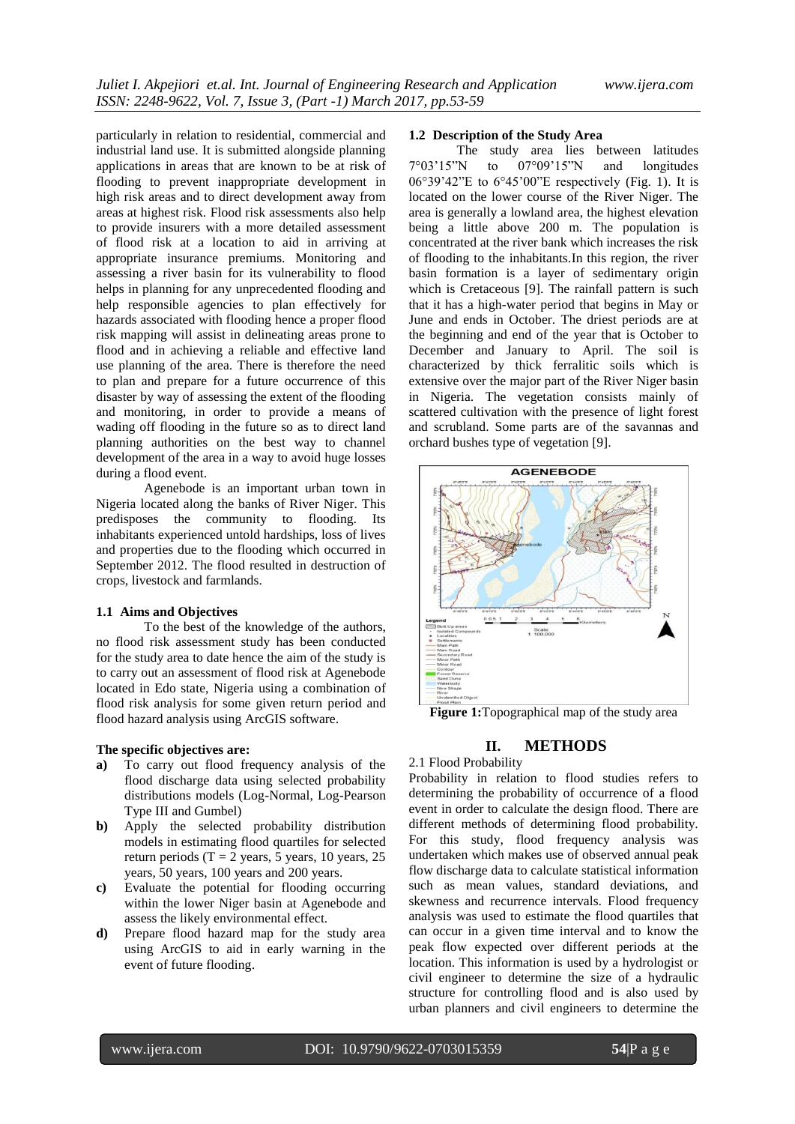particularly in relation to residential, commercial and industrial land use. It is submitted alongside planning applications in areas that are known to be at risk of flooding to prevent inappropriate development in high risk areas and to direct development away from areas at highest risk. Flood risk assessments also help to provide insurers with a more detailed assessment of flood risk at a location to aid in arriving at appropriate insurance premiums. Monitoring and assessing a river basin for its vulnerability to flood helps in planning for any unprecedented flooding and help responsible agencies to plan effectively for hazards associated with flooding hence a proper flood risk mapping will assist in delineating areas prone to flood and in achieving a reliable and effective land use planning of the area. There is therefore the need to plan and prepare for a future occurrence of this disaster by way of assessing the extent of the flooding and monitoring, in order to provide a means of wading off flooding in the future so as to direct land planning authorities on the best way to channel development of the area in a way to avoid huge losses during a flood event.

Agenebode is an important urban town in Nigeria located along the banks of River Niger. This predisposes the community to flooding. Its inhabitants experienced untold hardships, loss of lives and properties due to the flooding which occurred in September 2012. The flood resulted in destruction of crops, livestock and farmlands.

## **1.1 Aims and Objectives**

To the best of the knowledge of the authors, no flood risk assessment study has been conducted for the study area to date hence the aim of the study is to carry out an assessment of flood risk at Agenebode located in Edo state, Nigeria using a combination of flood risk analysis for some given return period and flood hazard analysis using ArcGIS software.

## **The specific objectives are:**

- **a)** To carry out flood frequency analysis of the flood discharge data using selected probability distributions models (Log-Normal, Log-Pearson Type III and Gumbel)
- **b)** Apply the selected probability distribution models in estimating flood quartiles for selected return periods (T = 2 years, 5 years, 10 years, 25 years, 50 years, 100 years and 200 years.
- **c)** Evaluate the potential for flooding occurring within the lower Niger basin at Agenebode and assess the likely environmental effect.
- **d)** Prepare flood hazard map for the study area using ArcGIS to aid in early warning in the event of future flooding.

#### **1.2 Description of the Study Area**

The study area lies between latitudes 7°03'15"N to 07°09'15"N and longitudes 06°39'42"E to 6°45'00"E respectively (Fig. 1). It is located on the lower course of the River Niger. The area is generally a lowland area, the highest elevation being a little above 200 m. The population is concentrated at the river bank which increases the risk of flooding to the inhabitants.In this region, the river basin formation is a layer of sedimentary origin which is Cretaceous [9]. The rainfall pattern is such that it has a high-water period that begins in May or June and ends in October. The driest periods are at the beginning and end of the year that is October to December and January to April. The soil is characterized by thick ferralitic soils which is extensive over the major part of the River Niger basin in Nigeria. The vegetation consists mainly of scattered cultivation with the presence of light forest and scrubland. Some parts are of the savannas and orchard bushes type of vegetation [9].



**Figure 1:**Topographical map of the study area

# **II. METHODS**

# 2.1 Flood Probability

Probability in relation to flood studies refers to determining the probability of occurrence of a flood event in order to calculate the design flood. There are different methods of determining flood probability. For this study, flood frequency analysis was undertaken which makes use of observed annual peak flow discharge data to calculate statistical information such as mean values, standard deviations, and skewness and recurrence intervals. Flood frequency analysis was used to estimate the flood quartiles that can occur in a given time interval and to know the peak flow expected over different periods at the location. This information is used by a hydrologist or civil engineer to determine the size of a hydraulic structure for controlling flood and is also used by urban planners and civil engineers to determine the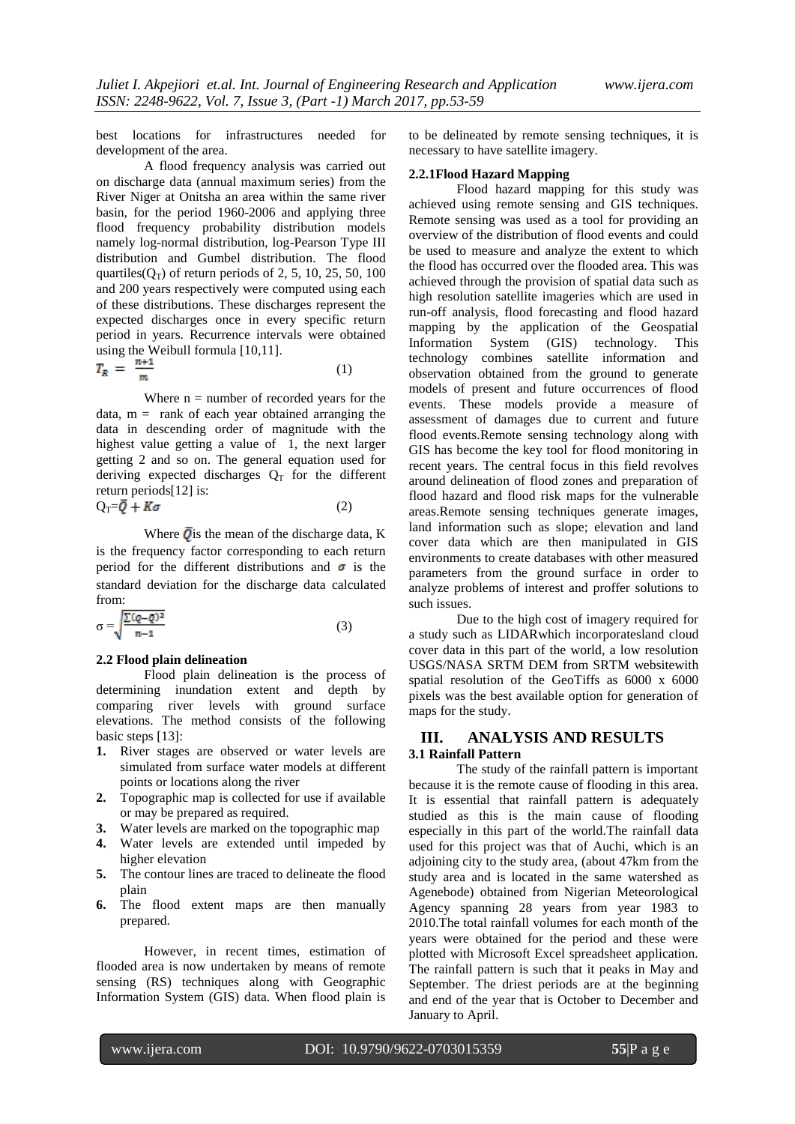best locations for infrastructures needed for development of the area.

A flood frequency analysis was carried out on discharge data (annual maximum series) from the River Niger at Onitsha an area within the same river basin, for the period 1960-2006 and applying three flood frequency probability distribution models namely log-normal distribution, log-Pearson Type III distribution and Gumbel distribution. The flood quartiles( $Q_T$ ) of return periods of 2, 5, 10, 25, 50, 100 and 200 years respectively were computed using each of these distributions. These discharges represent the expected discharges once in every specific return period in years. Recurrence intervals were obtained using the Weibull formula [10,11].

$$
T_R = \frac{n+1}{m} \tag{1}
$$

Where  $n =$  number of recorded years for the data,  $m =$  rank of each year obtained arranging the data in descending order of magnitude with the highest value getting a value of 1, the next larger getting 2 and so on. The general equation used for deriving expected discharges  $Q_T$  for the different return periods[12] is:  $Q_T = \overline{Q} + K\sigma$  (2)

Where  $\overline{\mathbf{Q}}$  is the mean of the discharge data, K is the frequency factor corresponding to each return period for the different distributions and  $\sigma$  is the standard deviation for the discharge data calculated from:

$$
\sigma = \sqrt{\frac{\sum (q - \bar{q})^2}{n - 1}}\tag{3}
$$

#### **2.2 Flood plain delineation**

Flood plain delineation is the process of determining inundation extent and depth by comparing river levels with ground surface elevations. The method consists of the following basic steps [13]:

- **1.** River stages are observed or water levels are simulated from surface water models at different points or locations along the river
- **2.** Topographic map is collected for use if available or may be prepared as required.
- **3.** Water levels are marked on the topographic map
- **4.** Water levels are extended until impeded by higher elevation
- **5.** The contour lines are traced to delineate the flood plain
- **6.** The flood extent maps are then manually prepared.

However, in recent times, estimation of flooded area is now undertaken by means of remote sensing (RS) techniques along with Geographic Information System (GIS) data. When flood plain is

to be delineated by remote sensing techniques, it is necessary to have satellite imagery.

## **2.2.1Flood Hazard Mapping**

Flood hazard mapping for this study was achieved using remote sensing and GIS techniques. Remote sensing was used as a tool for providing an overview of the distribution of flood events and could be used to measure and analyze the extent to which the flood has occurred over the flooded area. This was achieved through the provision of spatial data such as high resolution satellite imageries which are used in run-off analysis, flood forecasting and flood hazard mapping by the application of the Geospatial Information System (GIS) technology. This technology combines satellite information and observation obtained from the ground to generate models of present and future occurrences of flood events. These models provide a measure of assessment of damages due to current and future flood events.Remote sensing technology along with GIS has become the key tool for flood monitoring in recent years. The central focus in this field revolves around delineation of flood zones and preparation of flood hazard and flood risk maps for the vulnerable areas.Remote sensing techniques generate images, land information such as slope; elevation and land cover data which are then manipulated in GIS environments to create databases with other measured parameters from the ground surface in order to analyze problems of interest and proffer solutions to such issues.

Due to the high cost of imagery required for a study such as LIDARwhich incorporatesland cloud cover data in this part of the world, a low resolution USGS/NASA SRTM DEM from SRTM websitewith spatial resolution of the GeoTiffs as 6000 x 6000 pixels was the best available option for generation of maps for the study.

# **III. ANALYSIS AND RESULTS 3.1 Rainfall Pattern**

The study of the rainfall pattern is important because it is the remote cause of flooding in this area. It is essential that rainfall pattern is adequately studied as this is the main cause of flooding especially in this part of the world.The rainfall data used for this project was that of Auchi, which is an adjoining city to the study area, (about 47km from the study area and is located in the same watershed as Agenebode) obtained from Nigerian Meteorological Agency spanning 28 years from year 1983 to 2010.The total rainfall volumes for each month of the years were obtained for the period and these were plotted with Microsoft Excel spreadsheet application. The rainfall pattern is such that it peaks in May and September. The driest periods are at the beginning and end of the year that is October to December and January to April.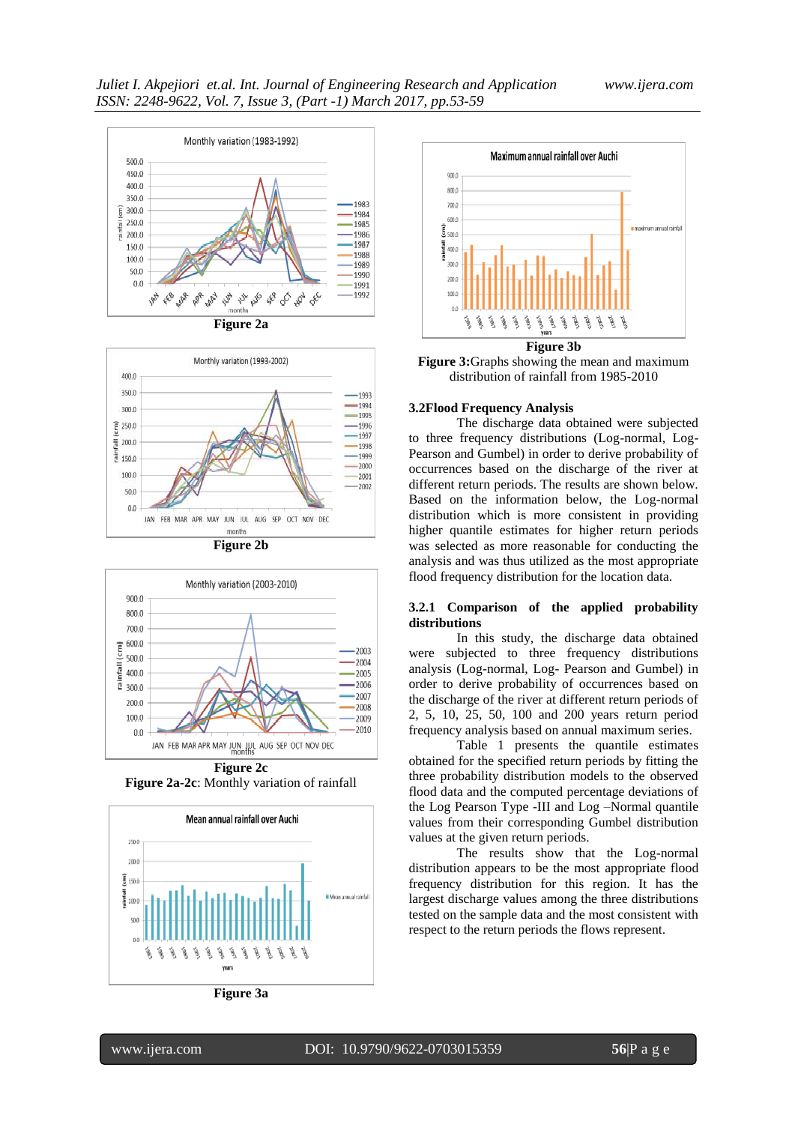









**Figure 2a-2c**: Monthly variation of rainfall



**Figure 3a**



**Figure 3:**Graphs showing the mean and maximum distribution of rainfall from 1985-2010

#### **3.2Flood Frequency Analysis**

The discharge data obtained were subjected to three frequency distributions (Log-normal, Log-Pearson and Gumbel) in order to derive probability of occurrences based on the discharge of the river at different return periods. The results are shown below. Based on the information below, the Log-normal distribution which is more consistent in providing higher quantile estimates for higher return periods was selected as more reasonable for conducting the analysis and was thus utilized as the most appropriate flood frequency distribution for the location data.

# **3.2.1 Comparison of the applied probability distributions**

In this study, the discharge data obtained were subjected to three frequency distributions analysis (Log-normal, Log- Pearson and Gumbel) in order to derive probability of occurrences based on the discharge of the river at different return periods of 2, 5, 10, 25, 50, 100 and 200 years return period frequency analysis based on annual maximum series.

Table 1 presents the quantile estimates obtained for the specified return periods by fitting the three probability distribution models to the observed flood data and the computed percentage deviations of the Log Pearson Type -III and Log –Normal quantile values from their corresponding Gumbel distribution values at the given return periods.

The results show that the Log-normal distribution appears to be the most appropriate flood frequency distribution for this region. It has the largest discharge values among the three distributions tested on the sample data and the most consistent with respect to the return periods the flows represent.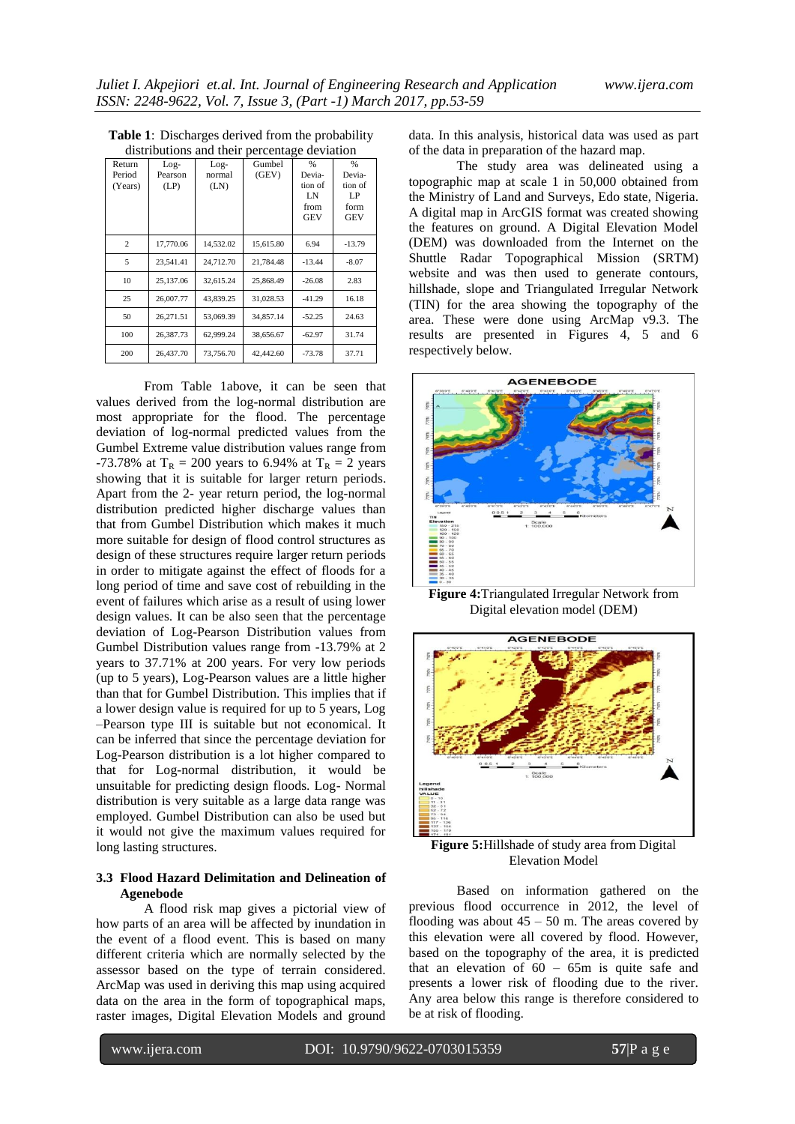| Return<br>Period<br>(Years) | $Log-$<br>Pearson<br>(LP) | $Log-$<br>normal<br>(LN) | Gumbel<br>(GEV) | $\frac{9}{6}$<br>Devia-<br>tion of<br>LN<br>from<br><b>GEV</b> | $\%$<br>Devia-<br>tion of<br>LP<br>form<br><b>GEV</b> |
|-----------------------------|---------------------------|--------------------------|-----------------|----------------------------------------------------------------|-------------------------------------------------------|
| $\overline{c}$              | 17,770.06                 | 14,532.02                | 15,615.80       | 6.94                                                           | $-13.79$                                              |
| 5                           | 23,541.41                 | 24,712.70                | 21,784.48       | $-13.44$                                                       | $-8.07$                                               |
| 10                          | 25.137.06                 | 32.615.24                | 25.868.49       | $-26.08$                                                       | 2.83                                                  |
| 25                          | 26,007.77                 | 43.839.25                | 31.028.53       | $-41.29$                                                       | 16.18                                                 |
| 50                          | 26.271.51                 | 53,069.39                | 34.857.14       | $-52.25$                                                       | 24.63                                                 |
| 100                         | 26,387.73                 | 62,999.24                | 38,656.67       | $-62.97$                                                       | 31.74                                                 |
| 200                         | 26,437.70                 | 73,756.70                | 42,442.60       | $-73.78$                                                       | 37.71                                                 |

**Table 1**: Discharges derived from the probability distributions and their percentage deviation

From Table 1above, it can be seen that values derived from the log-normal distribution are most appropriate for the flood. The percentage deviation of log-normal predicted values from the Gumbel Extreme value distribution values range from -73.78% at  $T_R = 200$  years to 6.94% at  $T_R = 2$  years showing that it is suitable for larger return periods. Apart from the 2- year return period, the log-normal distribution predicted higher discharge values than that from Gumbel Distribution which makes it much more suitable for design of flood control structures as design of these structures require larger return periods in order to mitigate against the effect of floods for a long period of time and save cost of rebuilding in the event of failures which arise as a result of using lower design values. It can be also seen that the percentage deviation of Log-Pearson Distribution values from Gumbel Distribution values range from -13.79% at 2 years to 37.71% at 200 years. For very low periods (up to 5 years), Log-Pearson values are a little higher than that for Gumbel Distribution. This implies that if a lower design value is required for up to 5 years, Log –Pearson type III is suitable but not economical. It can be inferred that since the percentage deviation for Log-Pearson distribution is a lot higher compared to that for Log-normal distribution, it would be unsuitable for predicting design floods. Log- Normal distribution is very suitable as a large data range was employed. Gumbel Distribution can also be used but it would not give the maximum values required for long lasting structures.

## **3.3 Flood Hazard Delimitation and Delineation of Agenebode**

A flood risk map gives a pictorial view of how parts of an area will be affected by inundation in the event of a flood event. This is based on many different criteria which are normally selected by the assessor based on the type of terrain considered. ArcMap was used in deriving this map using acquired data on the area in the form of topographical maps, raster images, Digital Elevation Models and ground

data. In this analysis, historical data was used as part of the data in preparation of the hazard map.

The study area was delineated using a topographic map at scale 1 in 50,000 obtained from the Ministry of Land and Surveys, Edo state, Nigeria. A digital map in ArcGIS format was created showing the features on ground. A Digital Elevation Model (DEM) was downloaded from the Internet on the Shuttle Radar Topographical Mission (SRTM) website and was then used to generate contours, hillshade, slope and Triangulated Irregular Network (TIN) for the area showing the topography of the area. These were done using ArcMap v9.3. The results are presented in Figures 4, 5 and 6 respectively below.



**Figure 4:**Triangulated Irregular Network from Digital elevation model (DEM)



**Figure 5:**Hillshade of study area from Digital Elevation Model

Based on information gathered on the previous flood occurrence in 2012, the level of flooding was about  $45 - 50$  m. The areas covered by this elevation were all covered by flood. However, based on the topography of the area, it is predicted that an elevation of  $60 - 65m$  is quite safe and presents a lower risk of flooding due to the river. Any area below this range is therefore considered to be at risk of flooding.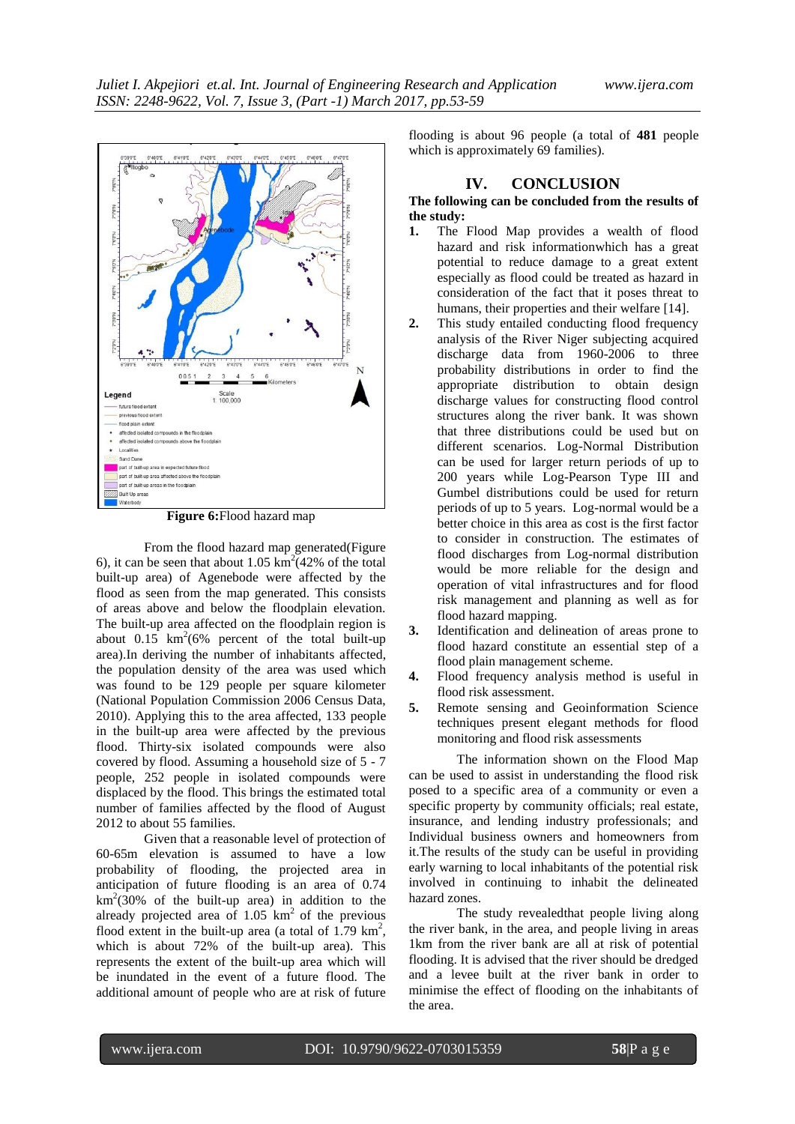

**Figure 6:**Flood hazard map

From the flood hazard map generated(Figure 6), it can be seen that about 1.05  $\text{km}^2$  (42% of the total built-up area) of Agenebode were affected by the flood as seen from the map generated. This consists of areas above and below the floodplain elevation. The built-up area affected on the floodplain region is about  $0.15 \text{ km}^2(6\% \text{ percent of the total built-up})$ area).In deriving the number of inhabitants affected, the population density of the area was used which was found to be 129 people per square kilometer (National Population Commission 2006 Census Data, 2010). Applying this to the area affected, 133 people in the built-up area were affected by the previous flood. Thirty-six isolated compounds were also covered by flood. Assuming a household size of 5 - 7 people, 252 people in isolated compounds were displaced by the flood. This brings the estimated total number of families affected by the flood of August 2012 to about 55 families.

Given that a reasonable level of protection of 60-65m elevation is assumed to have a low probability of flooding, the projected area in anticipation of future flooding is an area of 0.74  $km^2(30\%$  of the built-up area) in addition to the already projected area of  $1.05 \text{ km}^2$  of the previous flood extent in the built-up area (a total of  $1.79 \text{ km}^2$ , which is about 72% of the built-up area). This represents the extent of the built-up area which will be inundated in the event of a future flood. The additional amount of people who are at risk of future

flooding is about 96 people (a total of **481** people which is approximately 69 families).

# **IV. CONCLUSION**

# **The following can be concluded from the results of the study:**

- **1.** The Flood Map provides a wealth of flood hazard and risk informationwhich has a great potential to reduce damage to a great extent especially as flood could be treated as hazard in consideration of the fact that it poses threat to humans, their properties and their welfare [14].
- **2.** This study entailed conducting flood frequency analysis of the River Niger subjecting acquired discharge data from 1960-2006 to three probability distributions in order to find the appropriate distribution to obtain design discharge values for constructing flood control structures along the river bank. It was shown that three distributions could be used but on different scenarios. Log-Normal Distribution can be used for larger return periods of up to 200 years while Log-Pearson Type III and Gumbel distributions could be used for return periods of up to 5 years. Log-normal would be a better choice in this area as cost is the first factor to consider in construction. The estimates of flood discharges from Log-normal distribution would be more reliable for the design and operation of vital infrastructures and for flood risk management and planning as well as for flood hazard mapping.
- **3.** Identification and delineation of areas prone to flood hazard constitute an essential step of a flood plain management scheme.
- **4.** Flood frequency analysis method is useful in flood risk assessment.
- **5.** Remote sensing and Geoinformation Science techniques present elegant methods for flood monitoring and flood risk assessments

The information shown on the Flood Map can be used to assist in understanding the flood risk posed to a specific area of a community or even a specific property by community officials; real estate, insurance, and lending industry professionals; and Individual business owners and homeowners from it.The results of the study can be useful in providing early warning to local inhabitants of the potential risk involved in continuing to inhabit the delineated hazard zones.

The study revealedthat people living along the river bank, in the area, and people living in areas 1km from the river bank are all at risk of potential flooding. It is advised that the river should be dredged and a levee built at the river bank in order to minimise the effect of flooding on the inhabitants of the area.